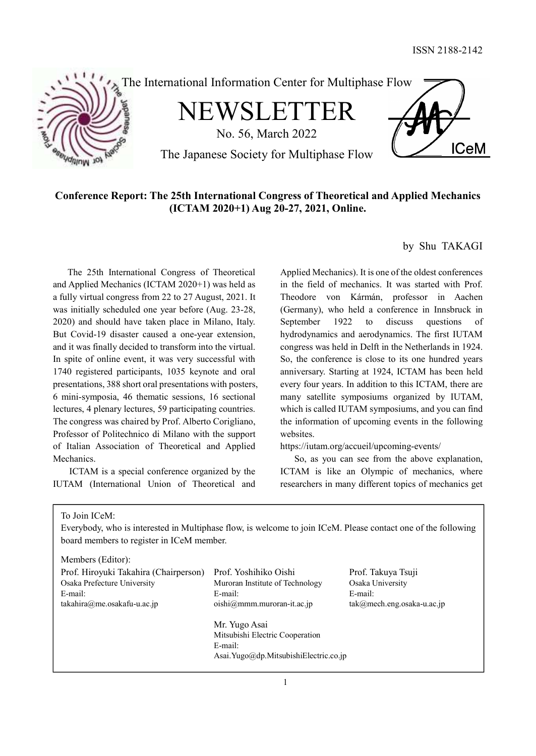

# Conference Report: The 25th International Congress of Theoretical and Applied Mechanics (ICTAM 2020+1) Aug 20-27, 2021, Online.

 The 25th International Congress of Theoretical and Applied Mechanics (ICTAM 2020+1) was held as a fully virtual congress from 22 to 27 August, 2021. It was initially scheduled one year before (Aug. 23-28, 2020) and should have taken place in Milano, Italy. But Covid-19 disaster caused a one-year extension, and it was finally decided to transform into the virtual. In spite of online event, it was very successful with 1740 registered participants, 1035 keynote and oral presentations, 388 short oral presentations with posters, 6 mini-symposia, 46 thematic sessions, 16 sectional lectures, 4 plenary lectures, 59 participating countries. The congress was chaired by Prof. Alberto Corigliano, Professor of Politechnico di Milano with the support of Italian Association of Theoretical and Applied Mechanics.

ICTAM is a special conference organized by the IUTAM (International Union of Theoretical and

by Shu TAKAGI

Applied Mechanics). It is one of the oldest conferences in the field of mechanics. It was started with Prof. Theodore von Kármán, professor in Aachen (Germany), who held a conference in Innsbruck in September 1922 to discuss questions of hydrodynamics and aerodynamics. The first IUTAM congress was held in Delft in the Netherlands in 1924. So, the conference is close to its one hundred years anniversary. Starting at 1924, ICTAM has been held every four years. In addition to this ICTAM, there are many satellite symposiums organized by IUTAM, which is called IUTAM symposiums, and you can find the information of upcoming events in the following websites.

https://iutam.org/accueil/upcoming-events/

 So, as you can see from the above explanation, ICTAM is like an Olympic of mechanics, where researchers in many different topics of mechanics get

To Join ICeM:

Everybody, who is interested in Multiphase flow, is welcome to join ICeM. Please contact one of the following board members to register in ICeM member.

Members (Editor):

| Prof. Hiroyuki Takahira (Chairperson) | Prof. Yoshihiko Oishi                 | Prof. Takuya Tsuji            |
|---------------------------------------|---------------------------------------|-------------------------------|
| Osaka Prefecture University           | Muroran Institute of Technology       | Osaka University              |
| E-mail:                               | E-mail:                               | E-mail:                       |
| $takahira@me. osakafu-u.ac.jp$        | $oishi@mmm.muroran-it.ac.jp$          | $tak@mech.eng. osaka-u.ac.jp$ |
|                                       | Mr. Yugo Asai                         |                               |
|                                       | Mitsubishi Electric Cooperation       |                               |
|                                       | E-mail:                               |                               |
|                                       | Asai.Yugo@dp.MitsubishiElectric.co.ip |                               |
|                                       |                                       |                               |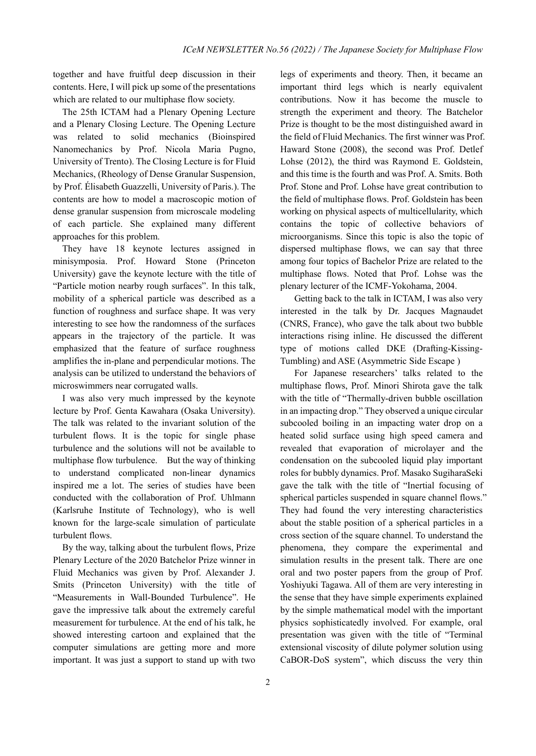together and have fruitful deep discussion in their contents. Here, I will pick up some of the presentations which are related to our multiphase flow society.

 The 25th ICTAM had a Plenary Opening Lecture and a Plenary Closing Lecture. The Opening Lecture was related to solid mechanics (Bioinspired Nanomechanics by Prof. Nicola Maria Pugno, University of Trento). The Closing Lecture is for Fluid Mechanics, (Rheology of Dense Granular Suspension, by Prof. Élisabeth Guazzelli, University of Paris.). The contents are how to model a macroscopic motion of dense granular suspension from microscale modeling of each particle. She explained many different approaches for this problem.

 They have 18 keynote lectures assigned in minisymposia. Prof. Howard Stone (Princeton University) gave the keynote lecture with the title of "Particle motion nearby rough surfaces". In this talk, mobility of a spherical particle was described as a function of roughness and surface shape. It was very interesting to see how the randomness of the surfaces appears in the trajectory of the particle. It was emphasized that the feature of surface roughness amplifies the in-plane and perpendicular motions. The analysis can be utilized to understand the behaviors of microswimmers near corrugated walls.

I was also very much impressed by the keynote lecture by Prof. Genta Kawahara (Osaka University). The talk was related to the invariant solution of the turbulent flows. It is the topic for single phase turbulence and the solutions will not be available to multiphase flow turbulence. But the way of thinking to understand complicated non-linear dynamics inspired me a lot. The series of studies have been conducted with the collaboration of Prof. Uhlmann (Karlsruhe Institute of Technology), who is well known for the large-scale simulation of particulate turbulent flows.

By the way, talking about the turbulent flows, Prize Plenary Lecture of the 2020 Batchelor Prize winner in Fluid Mechanics was given by Prof. Alexander J. Smits (Princeton University) with the title of "Measurements in Wall-Bounded Turbulence". He gave the impressive talk about the extremely careful measurement for turbulence. At the end of his talk, he showed interesting cartoon and explained that the computer simulations are getting more and more important. It was just a support to stand up with two legs of experiments and theory. Then, it became an important third legs which is nearly equivalent contributions. Now it has become the muscle to strength the experiment and theory. The Batchelor Prize is thought to be the most distinguished award in the field of Fluid Mechanics. The first winner was Prof. Haward Stone (2008), the second was Prof. Detlef Lohse (2012), the third was Raymond E. Goldstein, and this time is the fourth and was Prof. A. Smits. Both Prof. Stone and Prof. Lohse have great contribution to the field of multiphase flows. Prof. Goldstein has been working on physical aspects of multicellularity, which contains the topic of collective behaviors of microorganisms. Since this topic is also the topic of dispersed multiphase flows, we can say that three among four topics of Bachelor Prize are related to the multiphase flows. Noted that Prof. Lohse was the plenary lecturer of the ICMF-Yokohama, 2004.

Getting back to the talk in ICTAM, I was also very interested in the talk by Dr. Jacques Magnaudet (CNRS, France), who gave the talk about two bubble interactions rising inline. He discussed the different type of motions called DKE (Drafting-Kissing-Tumbling) and ASE (Asymmetric Side Escape )

For Japanese researchers' talks related to the multiphase flows, Prof. Minori Shirota gave the talk with the title of "Thermally-driven bubble oscillation in an impacting drop." They observed a unique circular subcooled boiling in an impacting water drop on a heated solid surface using high speed camera and revealed that evaporation of microlayer and the condensation on the subcooled liquid play important roles for bubbly dynamics. Prof. Masako SugiharaSeki gave the talk with the title of "Inertial focusing of spherical particles suspended in square channel flows." They had found the very interesting characteristics about the stable position of a spherical particles in a cross section of the square channel. To understand the phenomena, they compare the experimental and simulation results in the present talk. There are one oral and two poster papers from the group of Prof. Yoshiyuki Tagawa. All of them are very interesting in the sense that they have simple experiments explained by the simple mathematical model with the important physics sophisticatedly involved. For example, oral presentation was given with the title of "Terminal extensional viscosity of dilute polymer solution using CaBOR-DoS system", which discuss the very thin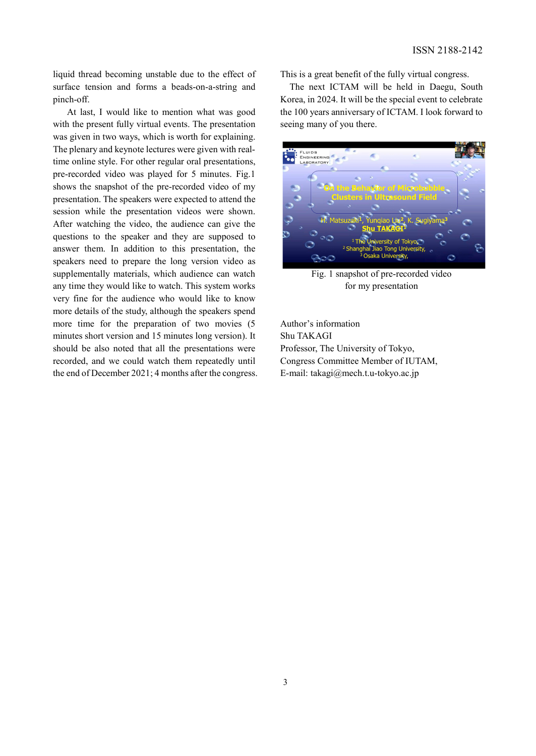liquid thread becoming unstable due to the effect of surface tension and forms a beads-on-a-string and pinch-off.

At last, I would like to mention what was good with the present fully virtual events. The presentation was given in two ways, which is worth for explaining. The plenary and keynote lectures were given with realtime online style. For other regular oral presentations, pre-recorded video was played for 5 minutes. Fig.1 shows the snapshot of the pre-recorded video of my presentation. The speakers were expected to attend the session while the presentation videos were shown. After watching the video, the audience can give the questions to the speaker and they are supposed to answer them. In addition to this presentation, the speakers need to prepare the long version video as supplementally materials, which audience can watch any time they would like to watch. This system works very fine for the audience who would like to know more details of the study, although the speakers spend more time for the preparation of two movies (5 minutes short version and 15 minutes long version). It should be also noted that all the presentations were recorded, and we could watch them repeatedly until the end of December 2021; 4 months after the congress. This is a great benefit of the fully virtual congress.

The next ICTAM will be held in Daegu, South Korea, in 2024. It will be the special event to celebrate the 100 years anniversary of ICTAM. I look forward to seeing many of you there.



Fig. 1 snapshot of pre-recorded video for my presentation

Author's information Shu TAKAGI Professor, The University of Tokyo, Congress Committee Member of IUTAM, E-mail: takagi@mech.t.u-tokyo.ac.jp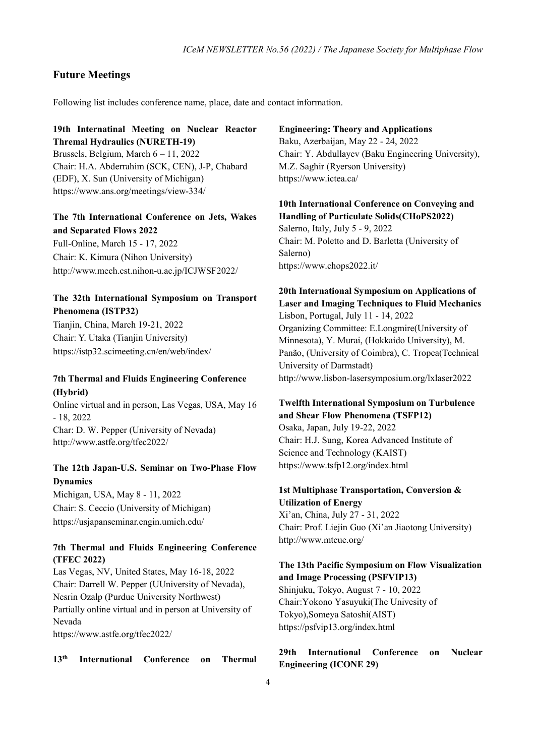#### Future Meetings

Following list includes conference name, place, date and contact information.

#### 19th Internatinal Meeting on Nuclear Reactor Thremal Hydraulics (NURETH-19)

Brussels, Belgium, March 6 – 11, 2022 Chair: H.A. Abderrahim (SCK, CEN), J-P, Chabard (EDF), X. Sun (University of Michigan) https://www.ans.org/meetings/view-334/

# The 7th International Conference on Jets, Wakes and Separated Flows 2022

Full-Online, March 15 - 17, 2022 Chair: K. Kimura (Nihon University) http://www.mech.cst.nihon-u.ac.jp/ICJWSF2022/

# The 32th International Symposium on Transport Phenomena (ISTP32)

Tianjin, China, March 19-21, 2022 Chair: Y. Utaka (Tianjin University) https://istp32.scimeeting.cn/en/web/index/

# 7th Thermal and Fluids Engineering Conference (Hybrid)

Online virtual and in person, Las Vegas, USA, May 16 - 18, 2022 Char: D. W. Pepper (University of Nevada) http://www.astfe.org/tfec2022/

# The 12th Japan-U.S. Seminar on Two-Phase Flow Dynamics

Michigan, USA, May 8 - 11, 2022 Chair: S. Ceccio (University of Michigan) https://usjapanseminar.engin.umich.edu/

#### 7th Thermal and Fluids Engineering Conference (TFEC 2022)

Las Vegas, NV, United States, May 16-18, 2022 Chair: Darrell W. Pepper (UUniversity of Nevada), Nesrin Ozalp (Purdue University Northwest) Partially online virtual and in person at University of Nevada

https://www.astfe.org/tfec2022/

13th International Conference on Thermal

# Engineering: Theory and Applications Baku, Azerbaijan, May 22 - 24, 2022 Chair: Y. Abdullayev (Baku Engineering University), M.Z. Saghir (Ryerson University) https://www.ictea.ca/

# 10th International Conference on Conveying and Handling of Particulate Solids(CHoPS2022)

Salerno, Italy, July 5 - 9, 2022 Chair: M. Poletto and D. Barletta (University of Salerno) https://www.chops2022.it/

# 20th International Symposium on Applications of Laser and Imaging Techniques to Fluid Mechanics Lisbon, Portugal, July 11 - 14, 2022

Organizing Committee: E.Longmire(University of Minnesota), Y. Murai, (Hokkaido University), M. Panão, (University of Coimbra), C. Tropea(Technical University of Darmstadt) http://www.lisbon-lasersymposium.org/lxlaser2022

#### Twelfth International Symposium on Turbulence and Shear Flow Phenomena (TSFP12)

Osaka, Japan, July 19-22, 2022 Chair: H.J. Sung, Korea Advanced Institute of Science and Technology (KAIST) https://www.tsfp12.org/index.html

#### 1st Multiphase Transportation, Conversion & Utilization of Energy

Xi'an, China, July 27 - 31, 2022 Chair: Prof. Liejin Guo (Xi'an Jiaotong University) http://www.mtcue.org/

#### The 13th Pacific Symposium on Flow Visualization and Image Processing (PSFVIP13)

Shinjuku, Tokyo, August 7 - 10, 2022 Chair:Yokono Yasuyuki(The Univesity of Tokyo),Someya Satoshi(AIST) https://psfvip13.org/index.html

29th International Conference on Nuclear Engineering (ICONE 29)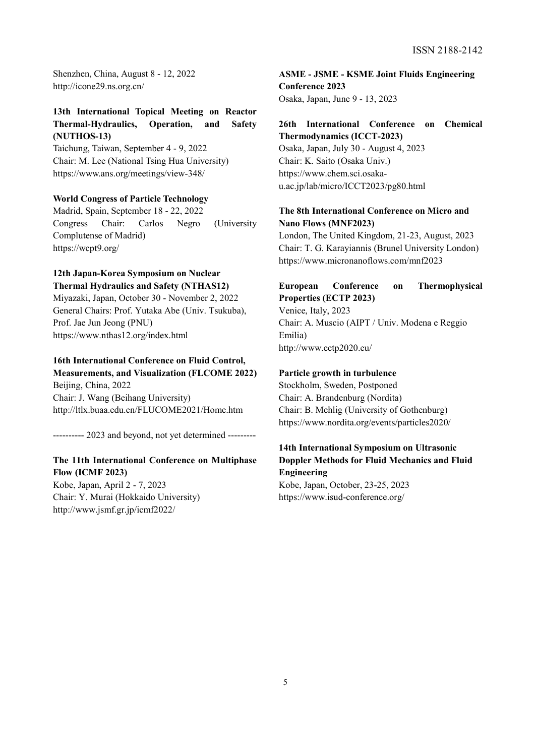ISSN 2188-2142

Shenzhen, China, August 8 - 12, 2022 http://icone29.ns.org.cn/

### 13th International Topical Meeting on Reactor Thermal-Hydraulics, Operation, and Safety (NUTHOS-13)

Taichung, Taiwan, September 4 - 9, 2022 Chair: M. Lee (National Tsing Hua University) https://www.ans.org/meetings/view-348/

#### World Congress of Particle Technology

Madrid, Spain, September 18 - 22, 2022 Congress Chair: Carlos Negro (University Complutense of Madrid) https://wcpt9.org/

# 12th Japan-Korea Symposium on Nuclear Thermal Hydraulics and Safety (NTHAS12)

Miyazaki, Japan, October 30 - November 2, 2022 General Chairs: Prof. Yutaka Abe (Univ. Tsukuba), Prof. Jae Jun Jeong (PNU) https://www.nthas12.org/index.html

# 16th International Conference on Fluid Control,

Measurements, and Visualization (FLCOME 2022) Beijing, China, 2022 Chair: J. Wang (Beihang University) http://ltlx.buaa.edu.cn/FLUCOME2021/Home.htm

---------- 2023 and beyond, not yet determined ---------

#### The 11th International Conference on Multiphase Flow (ICMF 2023)

Kobe, Japan, April 2 - 7, 2023 Chair: Y. Murai (Hokkaido University) http://www.jsmf.gr.jp/icmf2022/

ASME - JSME - KSME Joint Fluids Engineering Conference 2023 Osaka, Japan, June 9 - 13, 2023

#### 26th International Conference on Chemical Thermodynamics (ICCT-2023)

Osaka, Japan, July 30 - August 4, 2023 Chair: K. Saito (Osaka Univ.) https://www.chem.sci.osakau.ac.jp/lab/micro/ICCT2023/pg80.html

# The 8th International Conference on Micro and Nano Flows (MNF2023)

London, The United Kingdom, 21-23, August, 2023 Chair: T. G. Karayiannis (Brunel University London) https://www.micronanoflows.com/mnf2023

# European Conference on Thermophysical Properties (ECTP 2023)

Venice, Italy, 2023 Chair: A. Muscio (AIPT / Univ. Modena e Reggio Emilia) http://www.ectp2020.eu/

#### Particle growth in turbulence

Stockholm, Sweden, Postponed Chair: A. Brandenburg (Nordita) Chair: B. Mehlig (University of Gothenburg) https://www.nordita.org/events/particles2020/

# 14th International Symposium on Ultrasonic Doppler Methods for Fluid Mechanics and Fluid Engineering

Kobe, Japan, October, 23-25, 2023 https://www.isud-conference.org/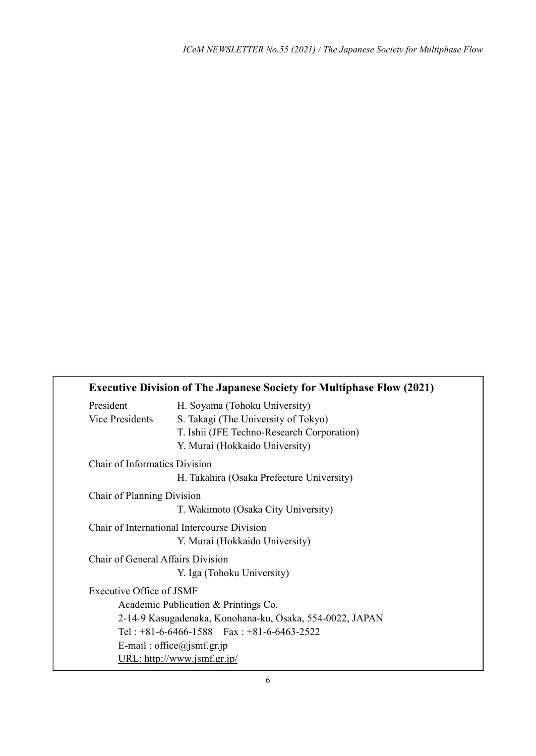|                                   | <b>Executive Division of The Japanese Society for Multiphase Flow (2021)</b> |
|-----------------------------------|------------------------------------------------------------------------------|
| President                         | H. Soyama (Tohoku University)                                                |
| Vice Presidents                   | S. Takagi (The University of Tokyo)                                          |
|                                   | T. Ishii (JFE Techno-Research Corporation)                                   |
|                                   | Y. Murai (Hokkaido University)                                               |
| Chair of Informatics Division     |                                                                              |
|                                   | H. Takahira (Osaka Prefecture University)                                    |
| Chair of Planning Division        |                                                                              |
|                                   | T. Wakimoto (Osaka City University)                                          |
|                                   | Chair of International Intercourse Division                                  |
|                                   | Y. Murai (Hokkaido University)                                               |
| Chair of General Affairs Division |                                                                              |
|                                   | Y. Iga (Tohoku University)                                                   |
| Executive Office of JSMF          |                                                                              |
|                                   | Academic Publication & Printings Co.                                         |
|                                   | 2-14-9 Kasugadenaka, Konohana-ku, Osaka, 554-0022, JAPAN                     |
|                                   | Tel: $+81-6-6466-1588$ Fax: $+81-6-6463-2522$                                |
|                                   | E-mail: office@jsmf.gr.jp                                                    |
|                                   | URL: http://www.jsmf.gr.jp/                                                  |